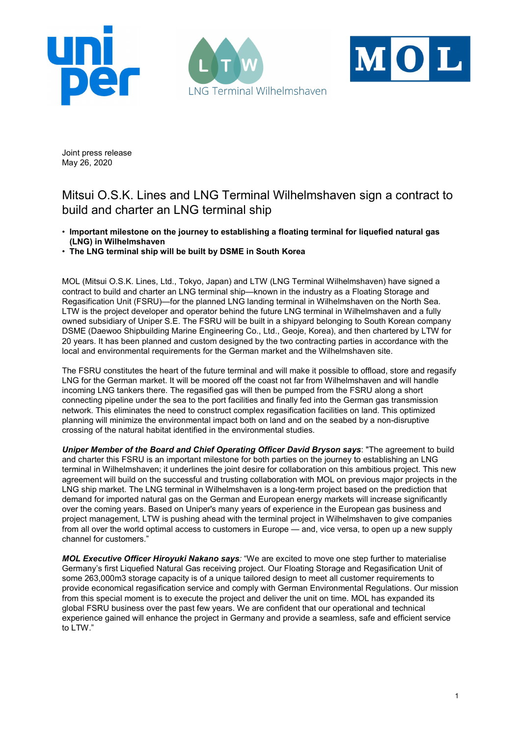





Joint press release May 26, 2020

## Mitsui O.S.K. Lines and LNG Terminal Wilhelmshaven sign a contract to build and charter an LNG terminal ship

- Important milestone on the journey to establishing a floating terminal for liquefied natural gas (LNG) in Wilhelmshaven
- The LNG terminal ship will be built by DSME in South Korea

MOL (Mitsui O.S.K. Lines, Ltd., Tokyo, Japan) and LTW (LNG Terminal Wilhelmshaven) have signed a contract to build and charter an LNG terminal ship—known in the industry as a Floating Storage and Regasification Unit (FSRU)—for the planned LNG landing terminal in Wilhelmshaven on the North Sea. LTW is the project developer and operator behind the future LNG terminal in Wilhelmshaven and a fully owned subsidiary of Uniper S.E. The FSRU will be built in a shipyard belonging to South Korean company DSME (Daewoo Shipbuilding Marine Engineering Co., Ltd., Geoje, Korea), and then chartered by LTW for 20 years. It has been planned and custom designed by the two contracting parties in accordance with the local and environmental requirements for the German market and the Wilhelmshaven site.

The FSRU constitutes the heart of the future terminal and will make it possible to offload, store and regasify LNG for the German market. It will be moored off the coast not far from Wilhelmshaven and will handle incoming LNG tankers there. The regasified gas will then be pumped from the FSRU along a short connecting pipeline under the sea to the port facilities and finally fed into the German gas transmission network. This eliminates the need to construct complex regasification facilities on land. This optimized planning will minimize the environmental impact both on land and on the seabed by a non-disruptive crossing of the natural habitat identified in the environmental studies.

Uniper Member of the Board and Chief Operating Officer David Bryson says: "The agreement to build and charter this FSRU is an important milestone for both parties on the journey to establishing an LNG terminal in Wilhelmshaven; it underlines the joint desire for collaboration on this ambitious project. This new agreement will build on the successful and trusting collaboration with MOL on previous major projects in the LNG ship market. The LNG terminal in Wilhelmshaven is a long-term project based on the prediction that demand for imported natural gas on the German and European energy markets will increase significantly over the coming years. Based on Uniper's many years of experience in the European gas business and project management, LTW is pushing ahead with the terminal project in Wilhelmshaven to give companies from all over the world optimal access to customers in Europe — and, vice versa, to open up a new supply channel for customers."

MOL Executive Officer Hiroyuki Nakano says: "We are excited to move one step further to materialise Germany's first Liquefied Natural Gas receiving project. Our Floating Storage and Regasification Unit of some 263,000m3 storage capacity is of a unique tailored design to meet all customer requirements to provide economical regasification service and comply with German Environmental Regulations. Our mission from this special moment is to execute the project and deliver the unit on time. MOL has expanded its global FSRU business over the past few years. We are confident that our operational and technical experience gained will enhance the project in Germany and provide a seamless, safe and efficient service to LTW."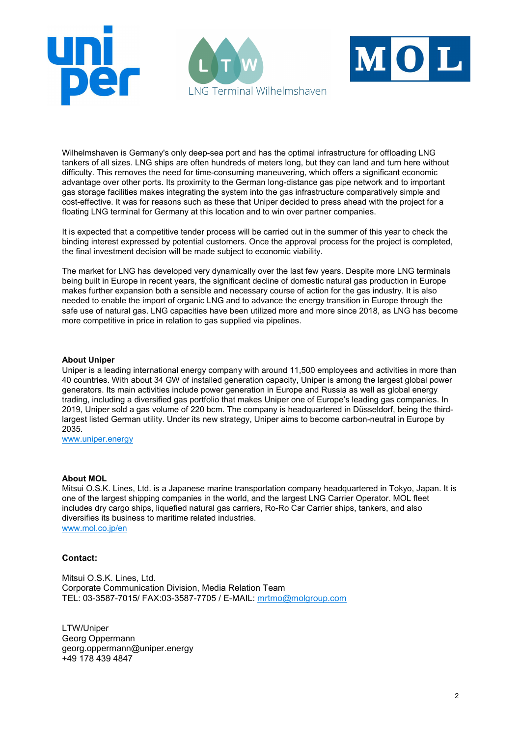





Wilhelmshaven is Germany's only deep-sea port and has the optimal infrastructure for offloading LNG tankers of all sizes. LNG ships are often hundreds of meters long, but they can land and turn here without difficulty. This removes the need for time-consuming maneuvering, which offers a significant economic advantage over other ports. Its proximity to the German long-distance gas pipe network and to important gas storage facilities makes integrating the system into the gas infrastructure comparatively simple and cost-effective. It was for reasons such as these that Uniper decided to press ahead with the project for a floating LNG terminal for Germany at this location and to win over partner companies.

It is expected that a competitive tender process will be carried out in the summer of this year to check the binding interest expressed by potential customers. Once the approval process for the project is completed, the final investment decision will be made subject to economic viability.

The market for LNG has developed very dynamically over the last few years. Despite more LNG terminals being built in Europe in recent years, the significant decline of domestic natural gas production in Europe makes further expansion both a sensible and necessary course of action for the gas industry. It is also needed to enable the import of organic LNG and to advance the energy transition in Europe through the safe use of natural gas. LNG capacities have been utilized more and more since 2018, as LNG has become more competitive in price in relation to gas supplied via pipelines.

## About Uniper

Uniper is a leading international energy company with around 11,500 employees and activities in more than 40 countries. With about 34 GW of installed generation capacity, Uniper is among the largest global power generators. Its main activities include power generation in Europe and Russia as well as global energy trading, including a diversified gas portfolio that makes Uniper one of Europe's leading gas companies. In 2019, Uniper sold a gas volume of 220 bcm. The company is headquartered in Düsseldorf, being the thirdlargest listed German utility. Under its new strategy, Uniper aims to become carbon-neutral in Europe by 2035.

www.uniper.energy

## About MOL

Mitsui O.S.K. Lines, Ltd. is a Japanese marine transportation company headquartered in Tokyo, Japan. It is one of the largest shipping companies in the world, and the largest LNG Carrier Operator. MOL fleet includes dry cargo ships, liquefied natural gas carriers, Ro-Ro Car Carrier ships, tankers, and also diversifies its business to maritime related industries. www.mol.co.jp/en

## Contact:

Mitsui O.S.K. Lines, Ltd. Corporate Communication Division, Media Relation Team TEL: 03-3587-7015/ FAX:03-3587-7705 / E-MAIL: mrtmo@molgroup.com

LTW/Uniper Georg Oppermann georg.oppermann@uniper.energy +49 178 439 4847